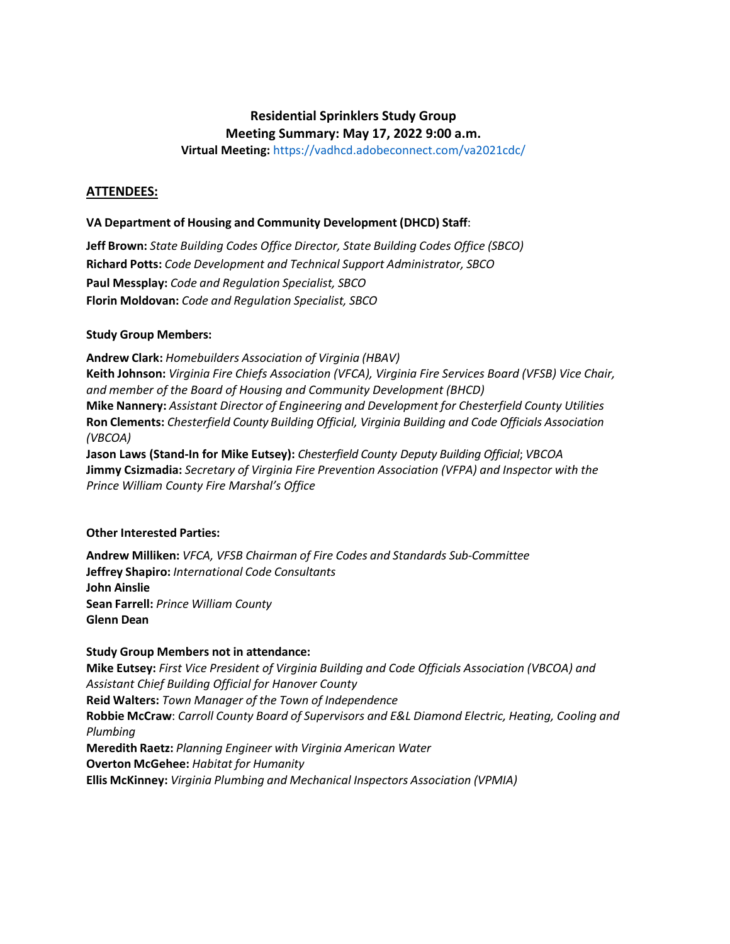# **Residential Sprinklers Study Group**

**Meeting Summary: May 17, 2022 9:00 a.m.**

**Virtual Meeting:** https://vadhcd.adobeconnect.com/va2021cdc/

# **ATTENDEES:**

# **VA Department of Housing and Community Development (DHCD) Staff**:

**Jeff Brown:** *State Building Codes Office Director, State Building Codes Office (SBCO)* **Richard Potts:** *Code Development and Technical Support Administrator, SBCO* **Paul Messplay:** *Code and Regulation Specialist, SBCO* **Florin Moldovan:** *Code and Regulation Specialist, SBCO*

# **Study Group Members:**

**Andrew Clark:** *Homebuilders Association of Virginia (HBAV)* **Keith Johnson:** *Virginia Fire Chiefs Association (VFCA), Virginia Fire Services Board (VFSB) Vice Chair, and member of the Board of Housing and Community Development (BHCD)* **Mike Nannery:** *Assistant Director of Engineering and Development for Chesterfield County Utilities* **Ron Clements:** *Chesterfield County Building Official, Virginia Building and Code Officials Association (VBCOA)* **Jason Laws (Stand-In for Mike Eutsey):** *Chesterfield County Deputy Building Official*; *VBCOA*

**Jimmy Csizmadia:** *Secretary of Virginia Fire Prevention Association (VFPA) and Inspector with the Prince William County Fire Marshal's Office*

# **Other Interested Parties:**

**Andrew Milliken:** *VFCA, VFSB Chairman of Fire Codes and Standards Sub-Committee* **Jeffrey Shapiro:** *International Code Consultants* **John Ainslie Sean Farrell:** *Prince William County* **Glenn Dean**

# **Study Group Members not in attendance:**

**Mike Eutsey:** *First Vice President of Virginia Building and Code Officials Association (VBCOA) and Assistant Chief Building Official for Hanover County* **Reid Walters:** *Town Manager of the Town of Independence* **Robbie McCraw**: *Carroll County Board of Supervisors and E&L Diamond Electric, Heating, Cooling and Plumbing* **Meredith Raetz:** *Planning Engineer with Virginia American Water* **Overton McGehee:** *Habitat for Humanity* **Ellis McKinney:** *Virginia Plumbing and Mechanical Inspectors Association (VPMIA)*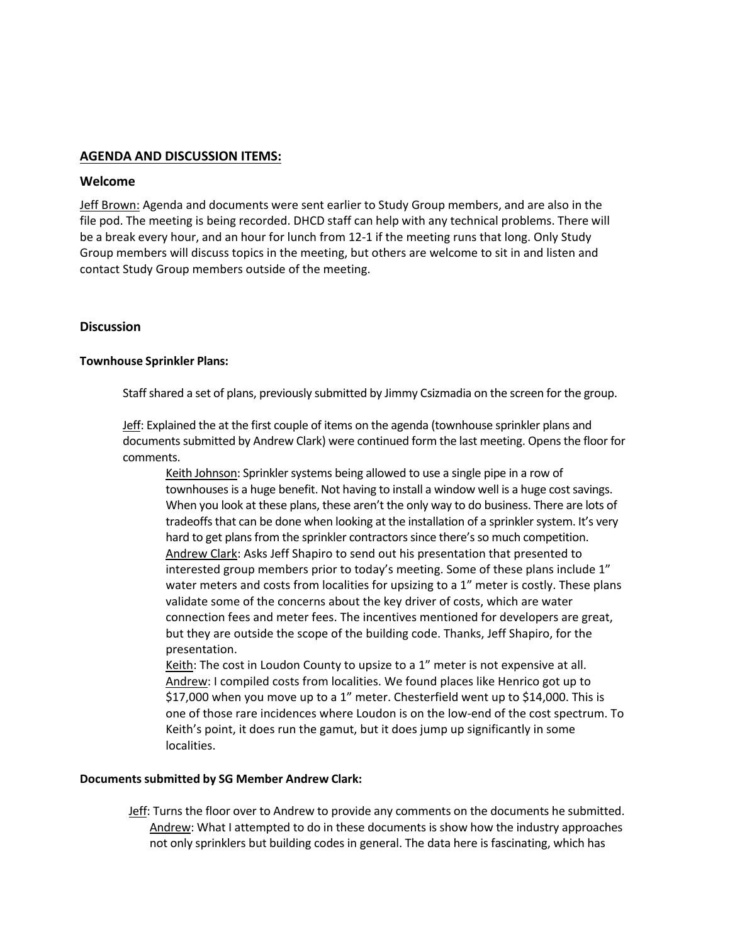# **AGENDA AND DISCUSSION ITEMS:**

#### **Welcome**

Jeff Brown: Agenda and documents were sent earlier to Study Group members, and are also in the file pod. The meeting is being recorded. DHCD staff can help with any technical problems. There will be a break every hour, and an hour for lunch from 12-1 if the meeting runs that long. Only Study Group members will discuss topics in the meeting, but others are welcome to sit in and listen and contact Study Group members outside of the meeting.

#### **Discussion**

#### **Townhouse Sprinkler Plans:**

Staff shared a set of plans, previously submitted by Jimmy Csizmadia on the screen for the group.

Jeff: Explained the at the first couple of items on the agenda (townhouse sprinkler plans and documents submitted by Andrew Clark) were continued form the last meeting. Opens the floor for comments.

Keith Johnson: Sprinkler systems being allowed to use a single pipe in a row of townhouses is a huge benefit. Not having to install a window well is a huge cost savings. When you look at these plans, these aren't the only way to do business. There are lots of tradeoffs that can be done when looking at the installation of a sprinkler system. It's very hard to get plans from the sprinkler contractors since there's so much competition. Andrew Clark: Asks Jeff Shapiro to send out his presentation that presented to interested group members prior to today's meeting. Some of these plans include 1" water meters and costs from localities for upsizing to a 1" meter is costly. These plans validate some of the concerns about the key driver of costs, which are water connection fees and meter fees. The incentives mentioned for developers are great, but they are outside the scope of the building code. Thanks, Jeff Shapiro, for the presentation.

Keith: The cost in Loudon County to upsize to a 1" meter is not expensive at all. Andrew: I compiled costs from localities. We found places like Henrico got up to \$17,000 when you move up to a 1" meter. Chesterfield went up to \$14,000. This is one of those rare incidences where Loudon is on the low-end of the cost spectrum. To Keith's point, it does run the gamut, but it does jump up significantly in some localities.

#### **Documentssubmitted by SG Member Andrew Clark:**

Jeff: Turns the floor over to Andrew to provide any comments on the documents he submitted. Andrew: What I attempted to do in these documents is show how the industry approaches not only sprinklers but building codes in general. The data here is fascinating, which has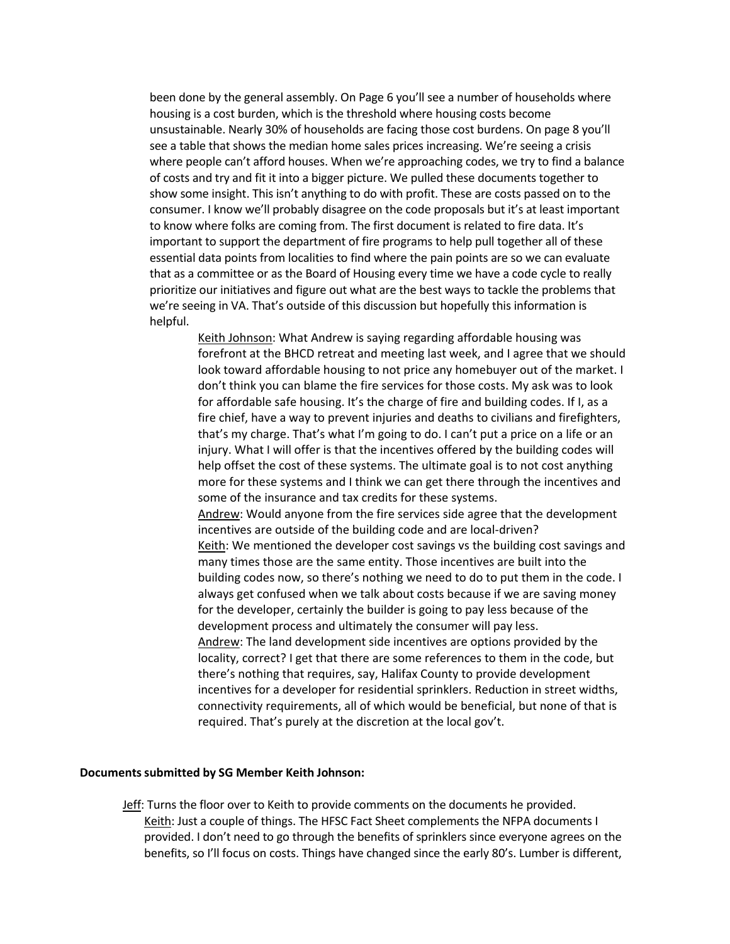been done by the general assembly. On Page 6 you'll see a number of households where housing is a cost burden, which is the threshold where housing costs become unsustainable. Nearly 30% of households are facing those cost burdens. On page 8 you'll see a table that shows the median home sales prices increasing. We're seeing a crisis where people can't afford houses. When we're approaching codes, we try to find a balance of costs and try and fit it into a bigger picture. We pulled these documents together to show some insight. This isn't anything to do with profit. These are costs passed on to the consumer. I know we'll probably disagree on the code proposals but it's at least important to know where folks are coming from. The first document is related to fire data. It's important to support the department of fire programs to help pull together all of these essential data points from localities to find where the pain points are so we can evaluate that as a committee or as the Board of Housing every time we have a code cycle to really prioritize our initiatives and figure out what are the best ways to tackle the problems that we're seeing in VA. That's outside of this discussion but hopefully this information is helpful.

> Keith Johnson: What Andrew is saying regarding affordable housing was forefront at the BHCD retreat and meeting last week, and I agree that we should look toward affordable housing to not price any homebuyer out of the market. I don't think you can blame the fire services for those costs. My ask was to look for affordable safe housing. It's the charge of fire and building codes. If I, as a fire chief, have a way to prevent injuries and deaths to civilians and firefighters, that's my charge. That's what I'm going to do. I can't put a price on a life or an injury. What I will offer is that the incentives offered by the building codes will help offset the cost of these systems. The ultimate goal is to not cost anything more for these systems and I think we can get there through the incentives and some of the insurance and tax credits for these systems. Andrew: Would anyone from the fire services side agree that the development incentives are outside of the building code and are local-driven? Keith: We mentioned the developer cost savings vs the building cost savings and many times those are the same entity. Those incentives are built into the building codes now, so there's nothing we need to do to put them in the code. I always get confused when we talk about costs because if we are saving money for the developer, certainly the builder is going to pay less because of the development process and ultimately the consumer will pay less. Andrew: The land development side incentives are options provided by the locality, correct? I get that there are some references to them in the code, but there's nothing that requires, say, Halifax County to provide development incentives for a developer for residential sprinklers. Reduction in street widths, connectivity requirements, all of which would be beneficial, but none of that is required. That's purely at the discretion at the local gov't.

#### **Documents submitted by SG Member Keith Johnson:**

Jeff: Turns the floor over to Keith to provide comments on the documents he provided. Keith: Just a couple of things. The HFSC Fact Sheet complements the NFPA documents I provided. I don't need to go through the benefits of sprinklers since everyone agrees on the benefits, so I'll focus on costs. Things have changed since the early 80's. Lumber is different,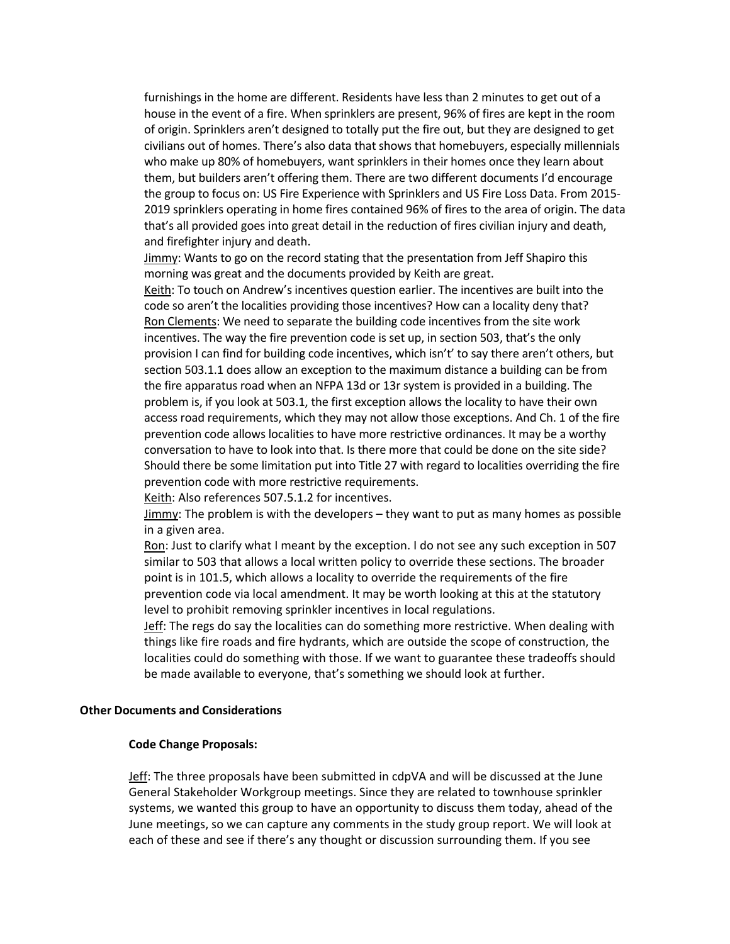furnishings in the home are different. Residents have less than 2 minutes to get out of a house in the event of a fire. When sprinklers are present, 96% of fires are kept in the room of origin. Sprinklers aren't designed to totally put the fire out, but they are designed to get civilians out of homes. There's also data that shows that homebuyers, especially millennials who make up 80% of homebuyers, want sprinklers in their homes once they learn about them, but builders aren't offering them. There are two different documents I'd encourage the group to focus on: US Fire Experience with Sprinklers and US Fire Loss Data. From 2015- 2019 sprinklers operating in home fires contained 96% of fires to the area of origin. The data that's all provided goes into great detail in the reduction of fires civilian injury and death, and firefighter injury and death.

Jimmy: Wants to go on the record stating that the presentation from Jeff Shapiro this morning was great and the documents provided by Keith are great.

Keith: To touch on Andrew's incentives question earlier. The incentives are built into the code so aren't the localities providing those incentives? How can a locality deny that? Ron Clements: We need to separate the building code incentives from the site work incentives. The way the fire prevention code is set up, in section 503, that's the only provision I can find for building code incentives, which isn't' to say there aren't others, but section 503.1.1 does allow an exception to the maximum distance a building can be from the fire apparatus road when an NFPA 13d or 13r system is provided in a building. The problem is, if you look at 503.1, the first exception allows the locality to have their own access road requirements, which they may not allow those exceptions. And Ch. 1 of the fire prevention code allows localities to have more restrictive ordinances. It may be a worthy conversation to have to look into that. Is there more that could be done on the site side? Should there be some limitation put into Title 27 with regard to localities overriding the fire prevention code with more restrictive requirements.

Keith: Also references 507.5.1.2 for incentives.

Jimmy: The problem is with the developers – they want to put as many homes as possible in a given area.

Ron: Just to clarify what I meant by the exception. I do not see any such exception in 507 similar to 503 that allows a local written policy to override these sections. The broader point is in 101.5, which allows a locality to override the requirements of the fire prevention code via local amendment. It may be worth looking at this at the statutory level to prohibit removing sprinkler incentives in local regulations.

Jeff: The regs do say the localities can do something more restrictive. When dealing with things like fire roads and fire hydrants, which are outside the scope of construction, the localities could do something with those. If we want to guarantee these tradeoffs should be made available to everyone, that's something we should look at further.

#### **Other Documents and Considerations**

#### **Code Change Proposals:**

Jeff: The three proposals have been submitted in cdpVA and will be discussed at the June General Stakeholder Workgroup meetings. Since they are related to townhouse sprinkler systems, we wanted this group to have an opportunity to discuss them today, ahead of the June meetings, so we can capture any comments in the study group report. We will look at each of these and see if there's any thought or discussion surrounding them. If you see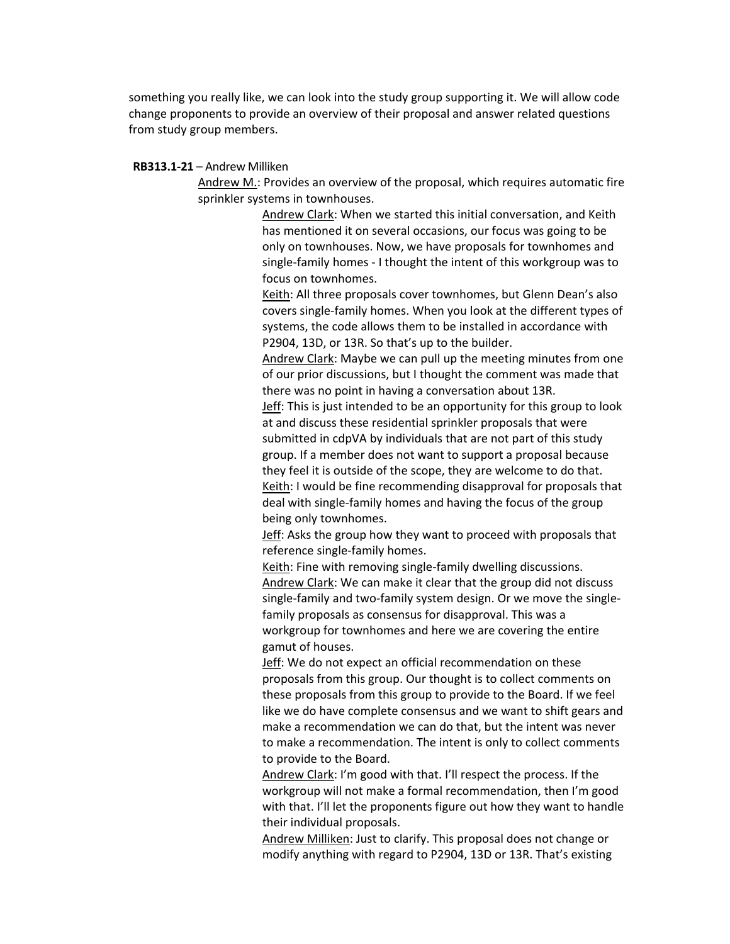something you really like, we can look into the study group supporting it. We will allow code change proponents to provide an overview of their proposal and answer related questions from study group members.

#### **RB313.1-21** – Andrew Milliken

Andrew M.: Provides an overview of the proposal, which requires automatic fire sprinkler systems in townhouses.

> Andrew Clark: When we started this initial conversation, and Keith has mentioned it on several occasions, our focus was going to be only on townhouses. Now, we have proposals for townhomes and single-family homes - I thought the intent of this workgroup was to focus on townhomes.

Keith: All three proposals cover townhomes, but Glenn Dean's also covers single-family homes. When you look at the different types of systems, the code allows them to be installed in accordance with P2904, 13D, or 13R. So that's up to the builder.

Andrew Clark: Maybe we can pull up the meeting minutes from one of our prior discussions, but I thought the comment was made that there was no point in having a conversation about 13R.

Jeff: This is just intended to be an opportunity for this group to look at and discuss these residential sprinkler proposals that were submitted in cdpVA by individuals that are not part of this study group. If a member does not want to support a proposal because they feel it is outside of the scope, they are welcome to do that. Keith: I would be fine recommending disapproval for proposals that deal with single-family homes and having the focus of the group being only townhomes.

**Jeff:** Asks the group how they want to proceed with proposals that reference single-family homes.

Keith: Fine with removing single-family dwelling discussions. Andrew Clark: We can make it clear that the group did not discuss single-family and two-family system design. Or we move the singlefamily proposals as consensus for disapproval. This was a workgroup for townhomes and here we are covering the entire gamut of houses.

**Jeff:** We do not expect an official recommendation on these proposals from this group. Our thought is to collect comments on these proposals from this group to provide to the Board. If we feel like we do have complete consensus and we want to shift gears and make a recommendation we can do that, but the intent was never to make a recommendation. The intent is only to collect comments to provide to the Board.

Andrew Clark: I'm good with that. I'll respect the process. If the workgroup will not make a formal recommendation, then I'm good with that. I'll let the proponents figure out how they want to handle their individual proposals.

Andrew Milliken: Just to clarify. This proposal does not change or modify anything with regard to P2904, 13D or 13R. That's existing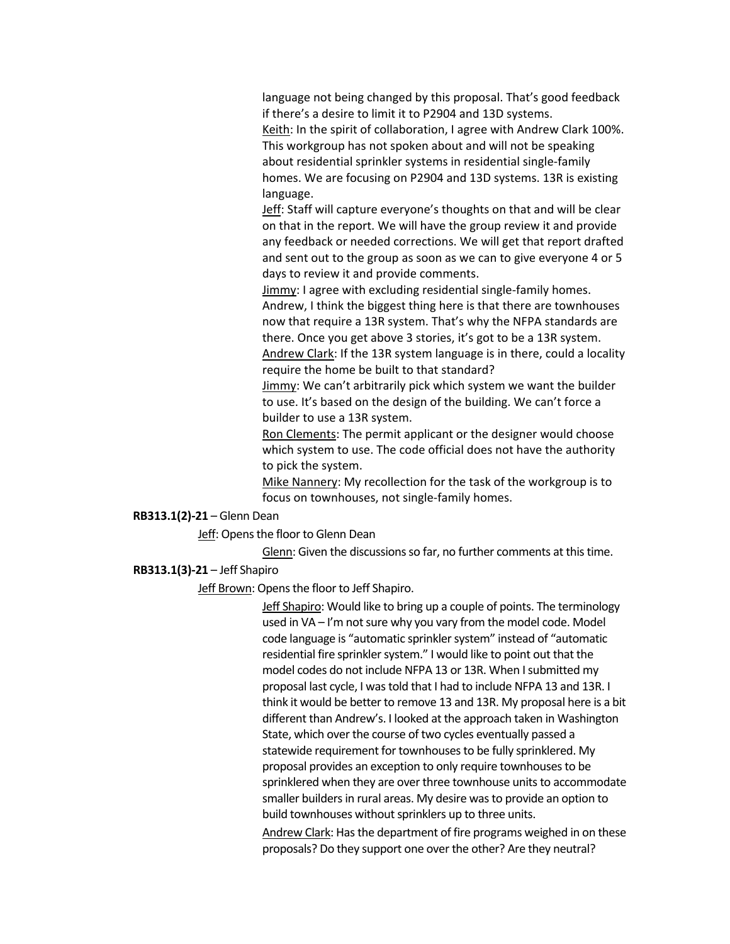language not being changed by this proposal. That's good feedback if there's a desire to limit it to P2904 and 13D systems.

Keith: In the spirit of collaboration, I agree with Andrew Clark 100%. This workgroup has not spoken about and will not be speaking about residential sprinkler systems in residential single-family homes. We are focusing on P2904 and 13D systems. 13R is existing language.

Jeff: Staff will capture everyone's thoughts on that and will be clear on that in the report. We will have the group review it and provide any feedback or needed corrections. We will get that report drafted and sent out to the group as soon as we can to give everyone 4 or 5 days to review it and provide comments.

Jimmy: I agree with excluding residential single-family homes. Andrew, I think the biggest thing here is that there are townhouses now that require a 13R system. That's why the NFPA standards are there. Once you get above 3 stories, it's got to be a 13R system. Andrew Clark: If the 13R system language is in there, could a locality require the home be built to that standard?

Jimmy: We can't arbitrarily pick which system we want the builder to use. It's based on the design of the building. We can't force a builder to use a 13R system.

Ron Clements: The permit applicant or the designer would choose which system to use. The code official does not have the authority to pick the system.

Mike Nannery: My recollection for the task of the workgroup is to focus on townhouses, not single-family homes.

#### **RB313.1(2)-21** – Glenn Dean

Jeff: Opens the floor to Glenn Dean

Glenn: Given the discussions so far, no further comments at this time.

#### **RB313.1(3)-21** – Jeff Shapiro

Jeff Brown: Opens the floor to Jeff Shapiro.

Jeff Shapiro: Would like to bring up a couple of points. The terminology used in VA – I'm not sure why you vary from the model code. Model code language is "automatic sprinkler system" instead of "automatic residential fire sprinkler system." I would like to point out that the model codes do not include NFPA 13 or 13R. When I submitted my proposal last cycle, I was told that I had to include NFPA 13 and 13R. I think it would be better to remove 13 and 13R. My proposal here is a bit different than Andrew's. I looked at the approach taken in Washington State, which over the course of two cycles eventually passed a statewide requirement for townhouses to be fully sprinklered. My proposal provides an exception to only require townhouses to be sprinklered when they are over three townhouse units to accommodate smaller builders in rural areas. My desire was to provide an option to build townhouses without sprinklers up to three units.

Andrew Clark: Has the department of fire programs weighed in on these proposals? Do they support one over the other? Are they neutral?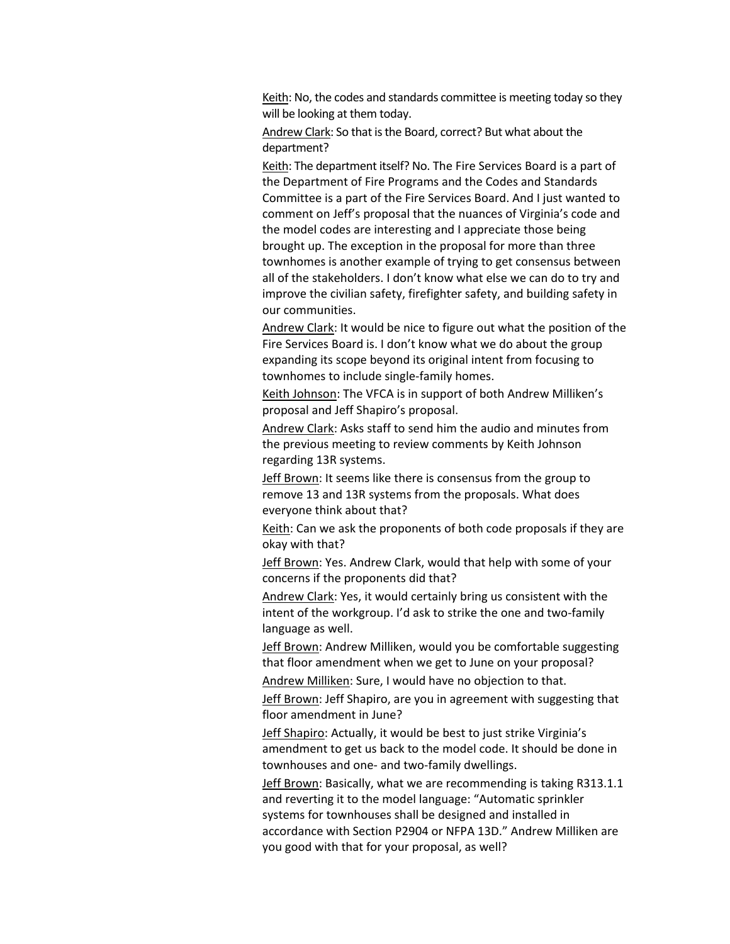Keith: No, the codes and standards committee is meeting today so they will be looking at them today.

Andrew Clark: So that is the Board, correct? But what about the department?

Keith: The department itself? No. The Fire Services Board is a part of the Department of Fire Programs and the Codes and Standards Committee is a part of the Fire Services Board. And I just wanted to comment on Jeff's proposal that the nuances of Virginia's code and the model codes are interesting and I appreciate those being brought up. The exception in the proposal for more than three townhomes is another example of trying to get consensus between all of the stakeholders. I don't know what else we can do to try and improve the civilian safety, firefighter safety, and building safety in our communities.

Andrew Clark: It would be nice to figure out what the position of the Fire Services Board is. I don't know what we do about the group expanding its scope beyond its original intent from focusing to townhomes to include single-family homes.

Keith Johnson: The VFCA is in support of both Andrew Milliken's proposal and Jeff Shapiro's proposal.

Andrew Clark: Asks staff to send him the audio and minutes from the previous meeting to review comments by Keith Johnson regarding 13R systems.

Jeff Brown: It seems like there is consensus from the group to remove 13 and 13R systems from the proposals. What does everyone think about that?

Keith: Can we ask the proponents of both code proposals if they are okay with that?

Jeff Brown: Yes. Andrew Clark, would that help with some of your concerns if the proponents did that?

Andrew Clark: Yes, it would certainly bring us consistent with the intent of the workgroup. I'd ask to strike the one and two-family language as well.

Jeff Brown: Andrew Milliken, would you be comfortable suggesting that floor amendment when we get to June on your proposal?

Andrew Milliken: Sure, I would have no objection to that.

Jeff Brown: Jeff Shapiro, are you in agreement with suggesting that floor amendment in June?

Jeff Shapiro: Actually, it would be best to just strike Virginia's amendment to get us back to the model code. It should be done in townhouses and one- and two-family dwellings.

Jeff Brown: Basically, what we are recommending is taking R313.1.1 and reverting it to the model language: "Automatic sprinkler systems for townhouses shall be designed and installed in accordance with Section P2904 or NFPA 13D." Andrew Milliken are you good with that for your proposal, as well?